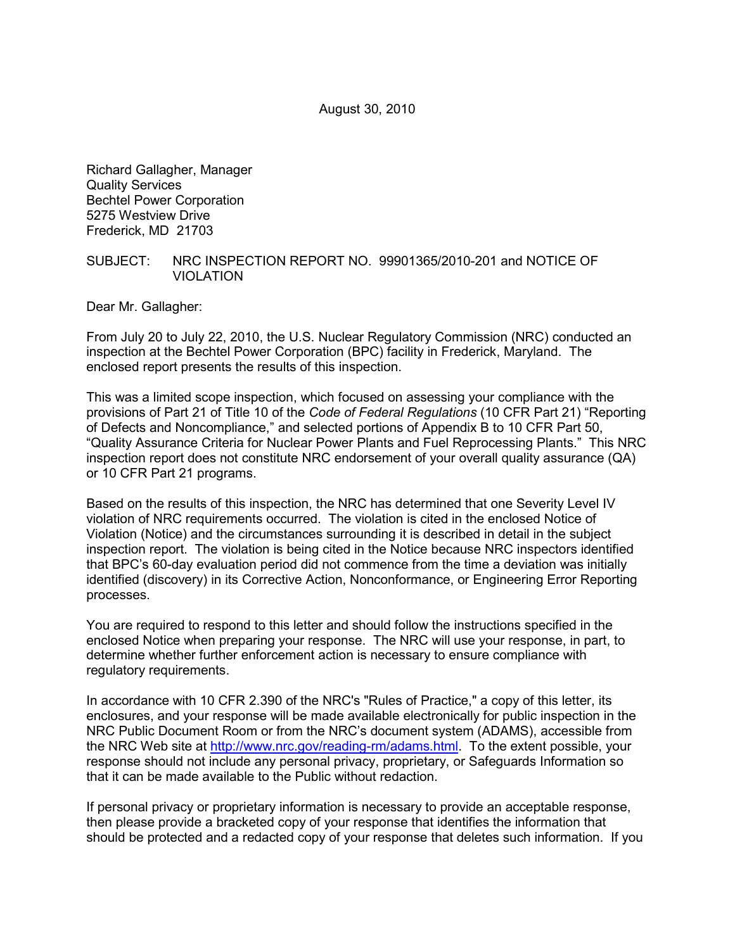August 30, 2010

Richard Gallagher, Manager Quality Services Bechtel Power Corporation 5275 Westview Drive Frederick, MD 21703

#### SUBJECT: NRC INSPECTION REPORT NO. 99901365/2010-201 and NOTICE OF VIOLATION

Dear Mr. Gallagher:

From July 20 to July 22, 2010, the U.S. Nuclear Regulatory Commission (NRC) conducted an inspection at the Bechtel Power Corporation (BPC) facility in Frederick, Maryland. The enclosed report presents the results of this inspection.

This was a limited scope inspection, which focused on assessing your compliance with the provisions of Part 21 of Title 10 of the *Code of Federal Regulations* (10 CFR Part 21) "Reporting of Defects and Noncompliance," and selected portions of Appendix B to 10 CFR Part 50, "Quality Assurance Criteria for Nuclear Power Plants and Fuel Reprocessing Plants." This NRC inspection report does not constitute NRC endorsement of your overall quality assurance (QA) or 10 CFR Part 21 programs.

Based on the results of this inspection, the NRC has determined that one Severity Level IV violation of NRC requirements occurred. The violation is cited in the enclosed Notice of Violation (Notice) and the circumstances surrounding it is described in detail in the subject inspection report. The violation is being cited in the Notice because NRC inspectors identified that BPC's 60-day evaluation period did not commence from the time a deviation was initially identified (discovery) in its Corrective Action, Nonconformance, or Engineering Error Reporting processes.

You are required to respond to this letter and should follow the instructions specified in the enclosed Notice when preparing your response. The NRC will use your response, in part, to determine whether further enforcement action is necessary to ensure compliance with regulatory requirements.

In accordance with 10 CFR 2.390 of the NRC's "Rules of Practice," a copy of this letter, its enclosures, and your response will be made available electronically for public inspection in the NRC Public Document Room or from the NRC's document system (ADAMS), accessible from the NRC Web site at http://www.nrc.gov/reading-rm/adams.html. To the extent possible, your response should not include any personal privacy, proprietary, or Safeguards Information so that it can be made available to the Public without redaction.

If personal privacy or proprietary information is necessary to provide an acceptable response, then please provide a bracketed copy of your response that identifies the information that should be protected and a redacted copy of your response that deletes such information. If you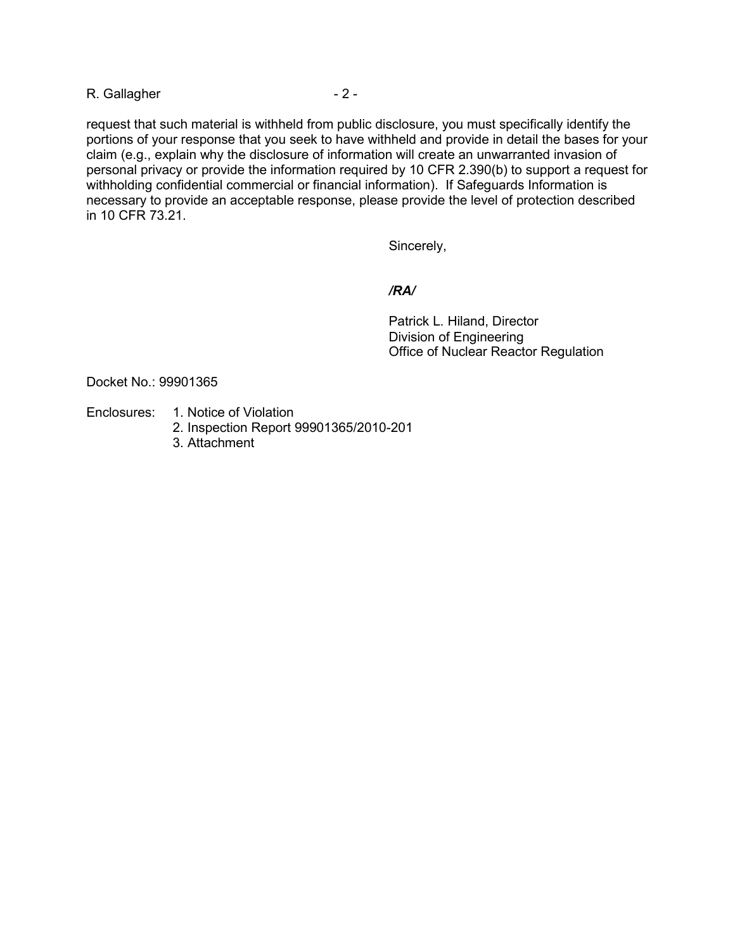### R. Gallagher - 2 -

request that such material is withheld from public disclosure, you must specifically identify the portions of your response that you seek to have withheld and provide in detail the bases for your claim (e.g., explain why the disclosure of information will create an unwarranted invasion of personal privacy or provide the information required by 10 CFR 2.390(b) to support a request for withholding confidential commercial or financial information). If Safeguards Information is necessary to provide an acceptable response, please provide the level of protection described in 10 CFR 73.21.

Sincerely,

#### */RA/*

 Patrick L. Hiland, Director Division of Engineering Office of Nuclear Reactor Regulation

Docket No.: 99901365

- Enclosures: 1. Notice of Violation
	- 2. Inspection Report 99901365/2010-201
	- 3. Attachment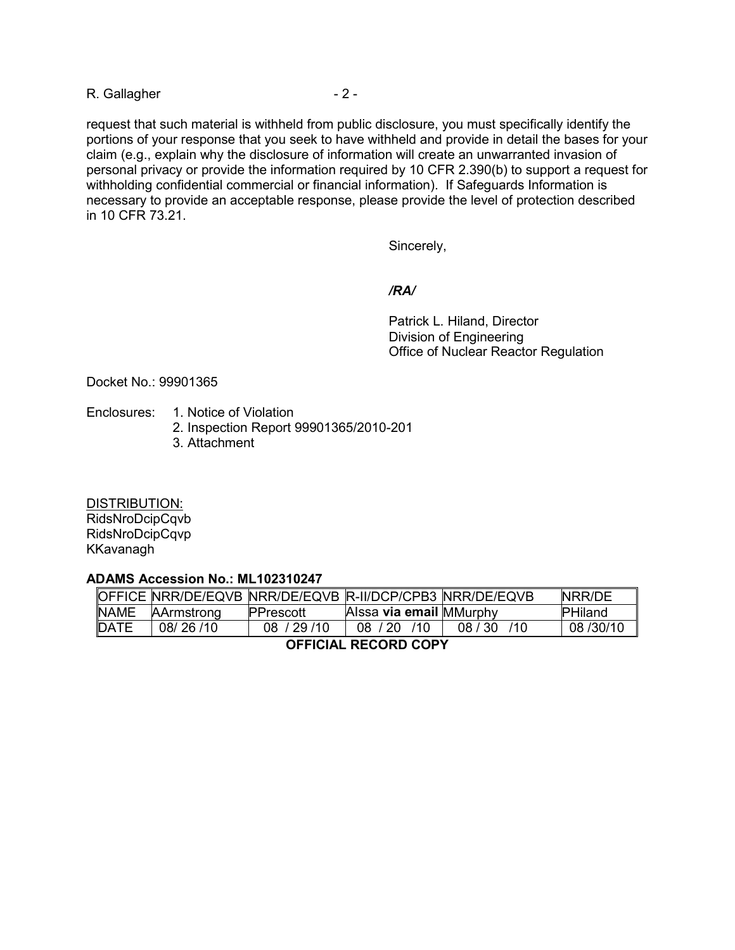### R. Gallagher - 2 -

request that such material is withheld from public disclosure, you must specifically identify the portions of your response that you seek to have withheld and provide in detail the bases for your claim (e.g., explain why the disclosure of information will create an unwarranted invasion of personal privacy or provide the information required by 10 CFR 2.390(b) to support a request for withholding confidential commercial or financial information). If Safeguards Information is necessary to provide an acceptable response, please provide the level of protection described in 10 CFR 73.21.

Sincerely,

#### */RA/*

 Patrick L. Hiland, Director Division of Engineering Office of Nuclear Reactor Regulation

Docket No.: 99901365

- Enclosures: 1. Notice of Violation
	- 2. Inspection Report 99901365/2010-201
	- 3. Attachment

DISTRIBUTION: RidsNroDcipCqvb RidsNroDcipCqvp KKavanagh

#### **ADAMS Accession No.: ML102310247**

|                      |            | OFFICE NRR/DE/EQVB NRR/DE/EQVB R-II/DCP/CPB3 NRR/DE/EQVB |                         |         | NRR/DE         |
|----------------------|------------|----------------------------------------------------------|-------------------------|---------|----------------|
| <b>NAME</b>          | AArmstrong | <b>PPrescott</b>                                         | Alssa via email MMurphy |         | <b>PHiland</b> |
| DATE                 | 08/26/10   | 08 / 29 / 10                                             | 71 Q<br>08 / 20         | 08 / 30 | 08/30/10       |
| AFFIAILI BEAABB AABV |            |                                                          |                         |         |                |

**OFFICIAL RECORD COPY**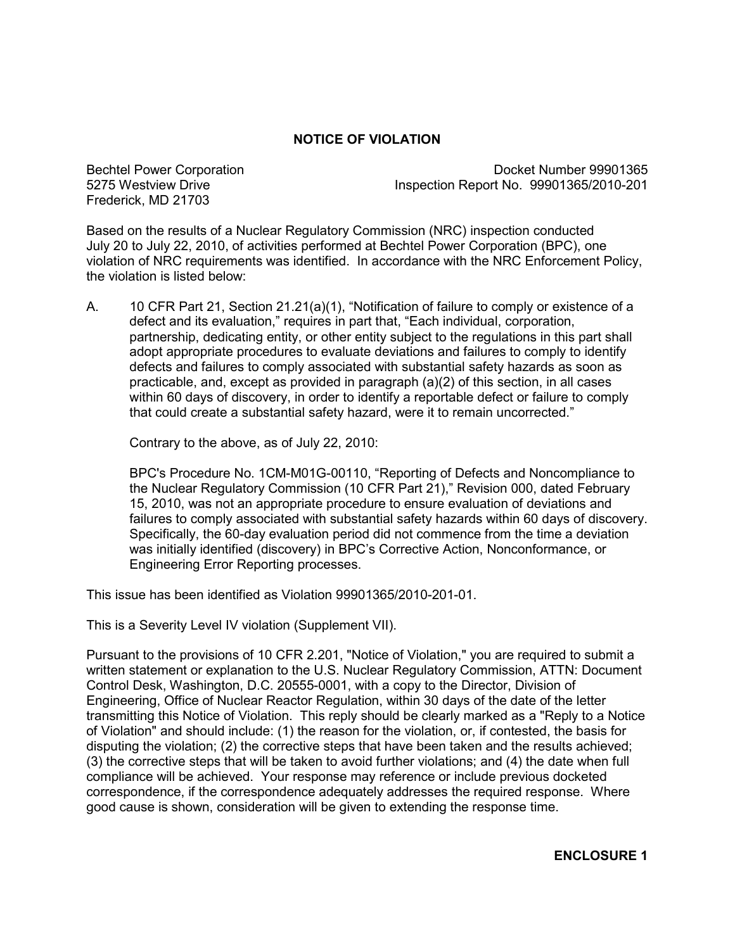# **NOTICE OF VIOLATION**

Bechtel Power Corporation 5275 Westview Drive Frederick, MD 21703

 Docket Number 99901365 Inspection Report No. 99901365/2010-201

Based on the results of a Nuclear Regulatory Commission (NRC) inspection conducted July 20 to July 22, 2010, of activities performed at Bechtel Power Corporation (BPC), one violation of NRC requirements was identified. In accordance with the NRC Enforcement Policy, the violation is listed below:

A. 10 CFR Part 21, Section 21.21(a)(1), "Notification of failure to comply or existence of a defect and its evaluation," requires in part that, "Each individual, corporation, partnership, dedicating entity, or other entity subject to the regulations in this part shall adopt appropriate procedures to evaluate deviations and failures to comply to identify defects and failures to comply associated with substantial safety hazards as soon as practicable, and, except as provided in paragraph (a)(2) of this section, in all cases within 60 days of discovery, in order to identify a reportable defect or failure to comply that could create a substantial safety hazard, were it to remain uncorrected."

Contrary to the above, as of July 22, 2010:

BPC's Procedure No. 1CM-M01G-00110, "Reporting of Defects and Noncompliance to the Nuclear Regulatory Commission (10 CFR Part 21)," Revision 000, dated February 15, 2010, was not an appropriate procedure to ensure evaluation of deviations and failures to comply associated with substantial safety hazards within 60 days of discovery. Specifically, the 60-day evaluation period did not commence from the time a deviation was initially identified (discovery) in BPC's Corrective Action, Nonconformance, or Engineering Error Reporting processes.

This issue has been identified as Violation 99901365/2010-201-01.

This is a Severity Level IV violation (Supplement VII).

Pursuant to the provisions of 10 CFR 2.201, "Notice of Violation," you are required to submit a written statement or explanation to the U.S. Nuclear Regulatory Commission, ATTN: Document Control Desk, Washington, D.C. 20555-0001, with a copy to the Director, Division of Engineering, Office of Nuclear Reactor Regulation, within 30 days of the date of the letter transmitting this Notice of Violation. This reply should be clearly marked as a "Reply to a Notice of Violation" and should include: (1) the reason for the violation, or, if contested, the basis for disputing the violation; (2) the corrective steps that have been taken and the results achieved; (3) the corrective steps that will be taken to avoid further violations; and (4) the date when full compliance will be achieved. Your response may reference or include previous docketed correspondence, if the correspondence adequately addresses the required response. Where good cause is shown, consideration will be given to extending the response time.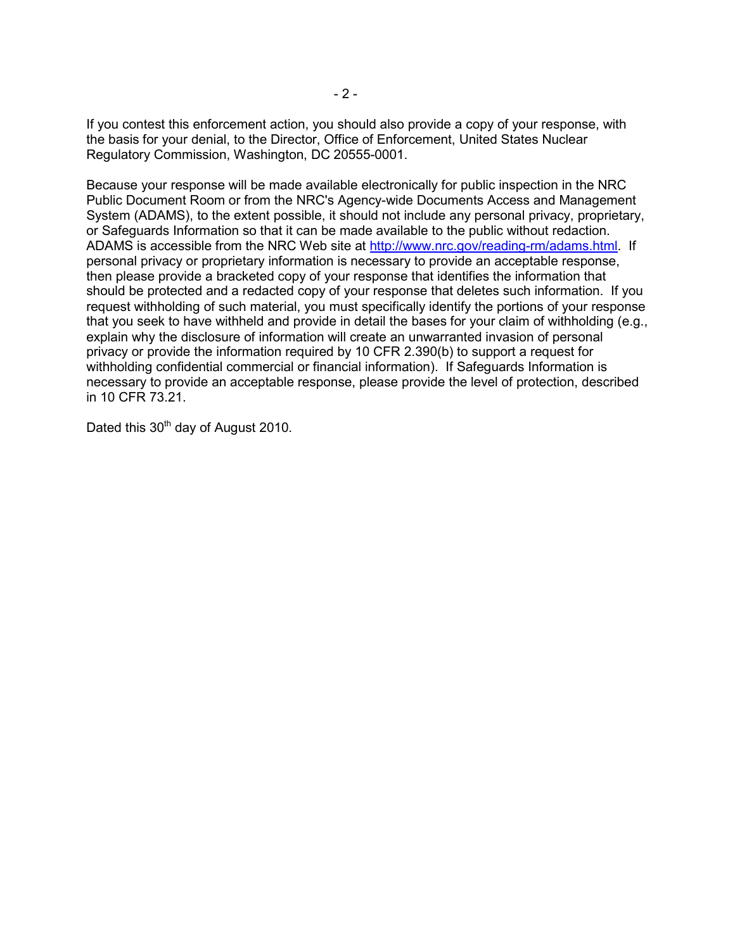If you contest this enforcement action, you should also provide a copy of your response, with the basis for your denial, to the Director, Office of Enforcement, United States Nuclear Regulatory Commission, Washington, DC 20555-0001.

Because your response will be made available electronically for public inspection in the NRC Public Document Room or from the NRC's Agency-wide Documents Access and Management System (ADAMS), to the extent possible, it should not include any personal privacy, proprietary, or Safeguards Information so that it can be made available to the public without redaction. ADAMS is accessible from the NRC Web site at http://www.nrc.gov/reading-rm/adams.html. If personal privacy or proprietary information is necessary to provide an acceptable response, then please provide a bracketed copy of your response that identifies the information that should be protected and a redacted copy of your response that deletes such information. If you request withholding of such material, you must specifically identify the portions of your response that you seek to have withheld and provide in detail the bases for your claim of withholding (e.g., explain why the disclosure of information will create an unwarranted invasion of personal privacy or provide the information required by 10 CFR 2.390(b) to support a request for withholding confidential commercial or financial information). If Safeguards Information is necessary to provide an acceptable response, please provide the level of protection, described in 10 CFR 73.21.

Dated this  $30<sup>th</sup>$  day of August 2010.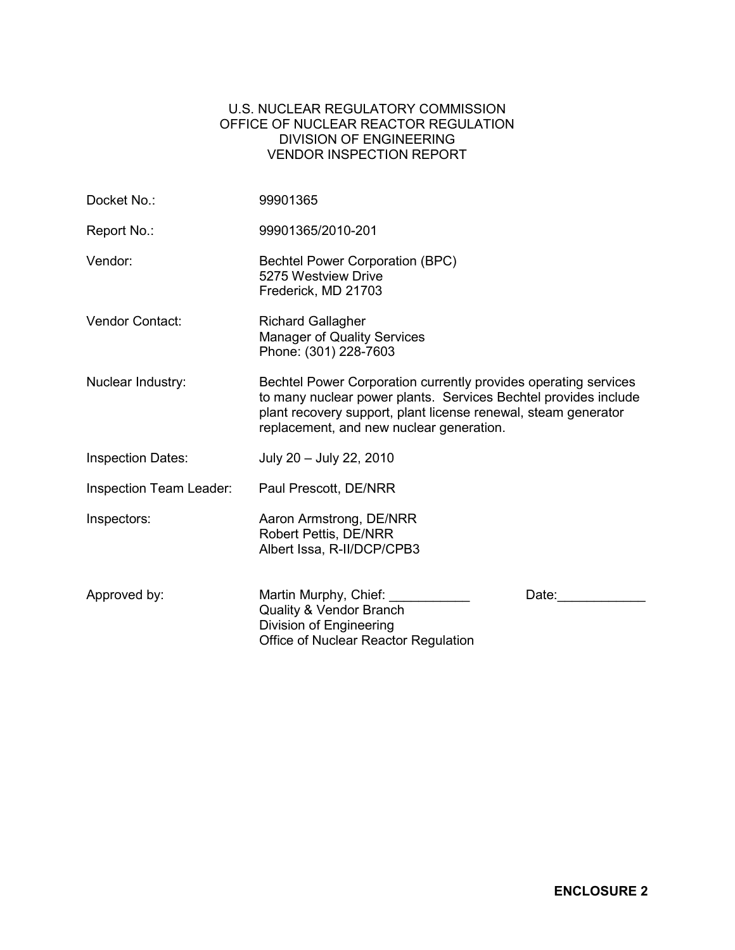# U.S. NUCLEAR REGULATORY COMMISSION OFFICE OF NUCLEAR REACTOR REGULATION DIVISION OF ENGINEERING VENDOR INSPECTION REPORT

| Docket No.:              | 99901365                                                                                                                                                                                                                                         |  |  |
|--------------------------|--------------------------------------------------------------------------------------------------------------------------------------------------------------------------------------------------------------------------------------------------|--|--|
| Report No.:              | 99901365/2010-201                                                                                                                                                                                                                                |  |  |
| Vendor:                  | <b>Bechtel Power Corporation (BPC)</b><br>5275 Westview Drive<br>Frederick, MD 21703                                                                                                                                                             |  |  |
| Vendor Contact:          | <b>Richard Gallagher</b><br><b>Manager of Quality Services</b><br>Phone: (301) 228-7603                                                                                                                                                          |  |  |
| Nuclear Industry:        | Bechtel Power Corporation currently provides operating services<br>to many nuclear power plants. Services Bechtel provides include<br>plant recovery support, plant license renewal, steam generator<br>replacement, and new nuclear generation. |  |  |
| <b>Inspection Dates:</b> | July 20 - July 22, 2010                                                                                                                                                                                                                          |  |  |
| Inspection Team Leader:  | Paul Prescott, DE/NRR                                                                                                                                                                                                                            |  |  |
| Inspectors:              | Aaron Armstrong, DE/NRR<br>Robert Pettis, DE/NRR<br>Albert Issa, R-II/DCP/CPB3                                                                                                                                                                   |  |  |
| Approved by:             | Martin Murphy, Chief: _______<br>Date:<br>Quality & Vendor Branch<br>Division of Engineering<br>Office of Nuclear Reactor Regulation                                                                                                             |  |  |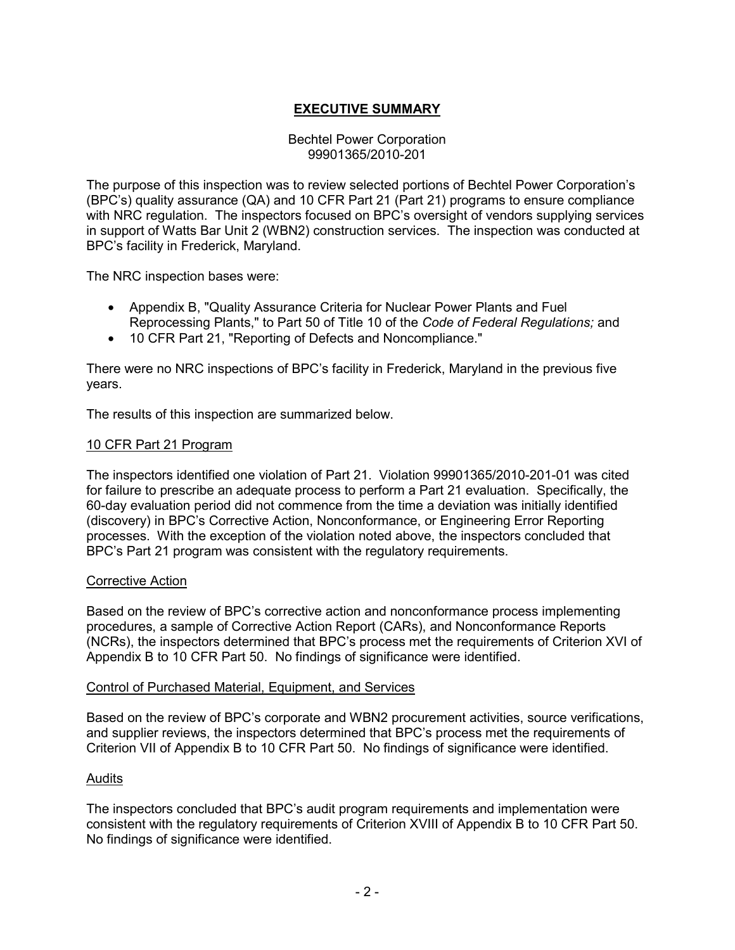# **EXECUTIVE SUMMARY**

### Bechtel Power Corporation 99901365/2010-201

The purpose of this inspection was to review selected portions of Bechtel Power Corporation's (BPC's) quality assurance (QA) and 10 CFR Part 21 (Part 21) programs to ensure compliance with NRC regulation. The inspectors focused on BPC's oversight of vendors supplying services in support of Watts Bar Unit 2 (WBN2) construction services. The inspection was conducted at BPC's facility in Frederick, Maryland.

The NRC inspection bases were:

- Appendix B, "Quality Assurance Criteria for Nuclear Power Plants and Fuel Reprocessing Plants," to Part 50 of Title 10 of the *Code of Federal Regulations;* and
- 10 CFR Part 21, "Reporting of Defects and Noncompliance."

There were no NRC inspections of BPC's facility in Frederick, Maryland in the previous five years.

The results of this inspection are summarized below.

### 10 CFR Part 21 Program

The inspectors identified one violation of Part 21. Violation 99901365/2010-201-01 was cited for failure to prescribe an adequate process to perform a Part 21 evaluation. Specifically, the 60-day evaluation period did not commence from the time a deviation was initially identified (discovery) in BPC's Corrective Action, Nonconformance, or Engineering Error Reporting processes. With the exception of the violation noted above, the inspectors concluded that BPC's Part 21 program was consistent with the regulatory requirements.

#### Corrective Action

Based on the review of BPC's corrective action and nonconformance process implementing procedures, a sample of Corrective Action Report (CARs), and Nonconformance Reports (NCRs), the inspectors determined that BPC's process met the requirements of Criterion XVI of Appendix B to 10 CFR Part 50. No findings of significance were identified.

#### Control of Purchased Material, Equipment, and Services

Based on the review of BPC's corporate and WBN2 procurement activities, source verifications, and supplier reviews, the inspectors determined that BPC's process met the requirements of Criterion VII of Appendix B to 10 CFR Part 50. No findings of significance were identified.

# Audits

The inspectors concluded that BPC's audit program requirements and implementation were consistent with the regulatory requirements of Criterion XVIII of Appendix B to 10 CFR Part 50. No findings of significance were identified.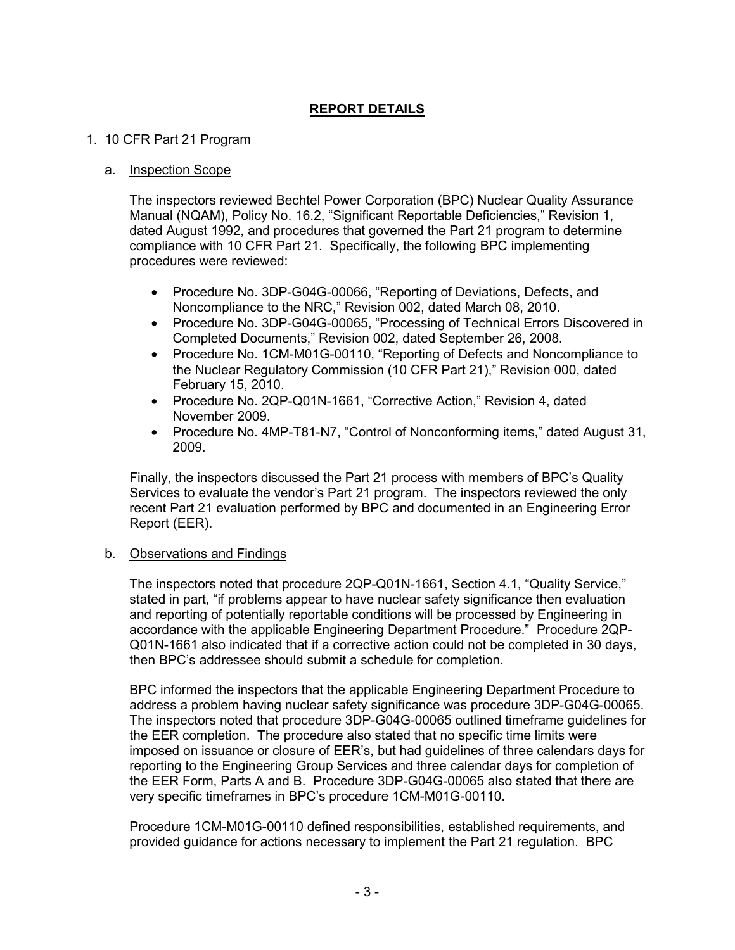# **REPORT DETAILS**

### 1. 10 CFR Part 21 Program

#### a. Inspection Scope

The inspectors reviewed Bechtel Power Corporation (BPC) Nuclear Quality Assurance Manual (NQAM), Policy No. 16.2, "Significant Reportable Deficiencies," Revision 1, dated August 1992, and procedures that governed the Part 21 program to determine compliance with 10 CFR Part 21. Specifically, the following BPC implementing procedures were reviewed:

- Procedure No. 3DP-G04G-00066, "Reporting of Deviations, Defects, and Noncompliance to the NRC," Revision 002, dated March 08, 2010.
- Procedure No. 3DP-G04G-00065, "Processing of Technical Errors Discovered in Completed Documents," Revision 002, dated September 26, 2008.
- Procedure No. 1CM-M01G-00110, "Reporting of Defects and Noncompliance to the Nuclear Regulatory Commission (10 CFR Part 21)," Revision 000, dated February 15, 2010.
- Procedure No. 2QP-Q01N-1661, "Corrective Action," Revision 4, dated November 2009.
- Procedure No. 4MP-T81-N7, "Control of Nonconforming items," dated August 31, 2009.

Finally, the inspectors discussed the Part 21 process with members of BPC's Quality Services to evaluate the vendor's Part 21 program. The inspectors reviewed the only recent Part 21 evaluation performed by BPC and documented in an Engineering Error Report (EER).

# b. Observations and Findings

The inspectors noted that procedure 2QP-Q01N-1661, Section 4.1, "Quality Service," stated in part, "if problems appear to have nuclear safety significance then evaluation and reporting of potentially reportable conditions will be processed by Engineering in accordance with the applicable Engineering Department Procedure." Procedure 2QP-Q01N-1661 also indicated that if a corrective action could not be completed in 30 days, then BPC's addressee should submit a schedule for completion.

BPC informed the inspectors that the applicable Engineering Department Procedure to address a problem having nuclear safety significance was procedure 3DP-G04G-00065. The inspectors noted that procedure 3DP-G04G-00065 outlined timeframe guidelines for the EER completion. The procedure also stated that no specific time limits were imposed on issuance or closure of EER's, but had guidelines of three calendars days for reporting to the Engineering Group Services and three calendar days for completion of the EER Form, Parts A and B. Procedure 3DP-G04G-00065 also stated that there are very specific timeframes in BPC's procedure 1CM-M01G-00110.

Procedure 1CM-M01G-00110 defined responsibilities, established requirements, and provided guidance for actions necessary to implement the Part 21 regulation. BPC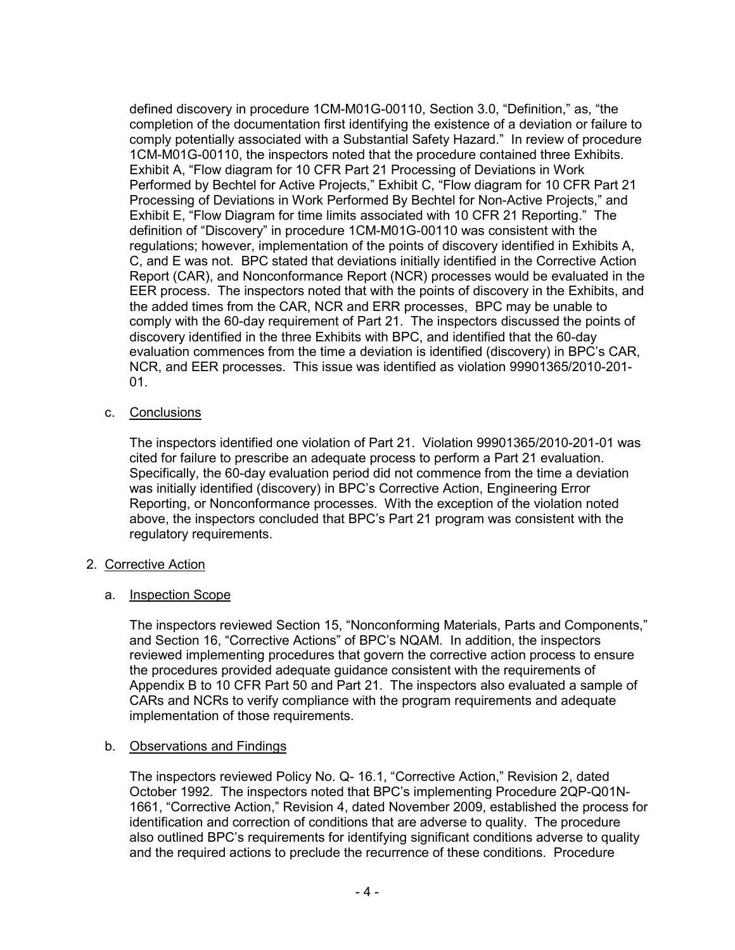defined discovery in procedure 1CM-M01G-00110, Section 3.0, "Definition," as, "the completion of the documentation first identifying the existence of a deviation or failure to comply potentially associated with a Substantial Safety Hazard." In review of procedure 1CM-M01G-00110, the inspectors noted that the procedure contained three Exhibits. Exhibit A, "Flow diagram for 10 CFR Part 21 Processing of Deviations in Work Performed by Bechtel for Active Projects," Exhibit C, "Flow diagram for 10 CFR Part 21 Processing of Deviations in Work Performed By Bechtel for Non-Active Projects," and Exhibit E, "Flow Diagram for time limits associated with 10 CFR 21 Reporting." The definition of "Discovery" in procedure 1CM-M01G-00110 was consistent with the regulations; however, implementation of the points of discovery identified in Exhibits A, C, and E was not. BPC stated that deviations initially identified in the Corrective Action Report (CAR), and Nonconformance Report (NCR) processes would be evaluated in the EER process. The inspectors noted that with the points of discovery in the Exhibits, and the added times from the CAR, NCR and ERR processes, BPC may be unable to comply with the 60-day requirement of Part 21. The inspectors discussed the points of discovery identified in the three Exhibits with BPC, and identified that the 60-day evaluation commences from the time a deviation is identified (discovery) in BPC's CAR, NCR, and EER processes. This issue was identified as violation 99901365/2010-201- 01.

c. Conclusions

The inspectors identified one violation of Part 21. Violation 99901365/2010-201-01 was cited for failure to prescribe an adequate process to perform a Part 21 evaluation. Specifically, the 60-day evaluation period did not commence from the time a deviation was initially identified (discovery) in BPC's Corrective Action, Engineering Error Reporting, or Nonconformance processes. With the exception of the violation noted above, the inspectors concluded that BPC's Part 21 program was consistent with the regulatory requirements.

- 2. Corrective Action
	- a. Inspection Scope

The inspectors reviewed Section 15, "Nonconforming Materials, Parts and Components," and Section 16, "Corrective Actions" of BPC's NQAM. In addition, the inspectors reviewed implementing procedures that govern the corrective action process to ensure the procedures provided adequate guidance consistent with the requirements of Appendix B to 10 CFR Part 50 and Part 21. The inspectors also evaluated a sample of CARs and NCRs to verify compliance with the program requirements and adequate implementation of those requirements.

# b. Observations and Findings

The inspectors reviewed Policy No. Q- 16.1, "Corrective Action," Revision 2, dated October 1992. The inspectors noted that BPC's implementing Procedure 2QP-Q01N-1661, "Corrective Action," Revision 4, dated November 2009, established the process for identification and correction of conditions that are adverse to quality. The procedure also outlined BPC's requirements for identifying significant conditions adverse to quality and the required actions to preclude the recurrence of these conditions. Procedure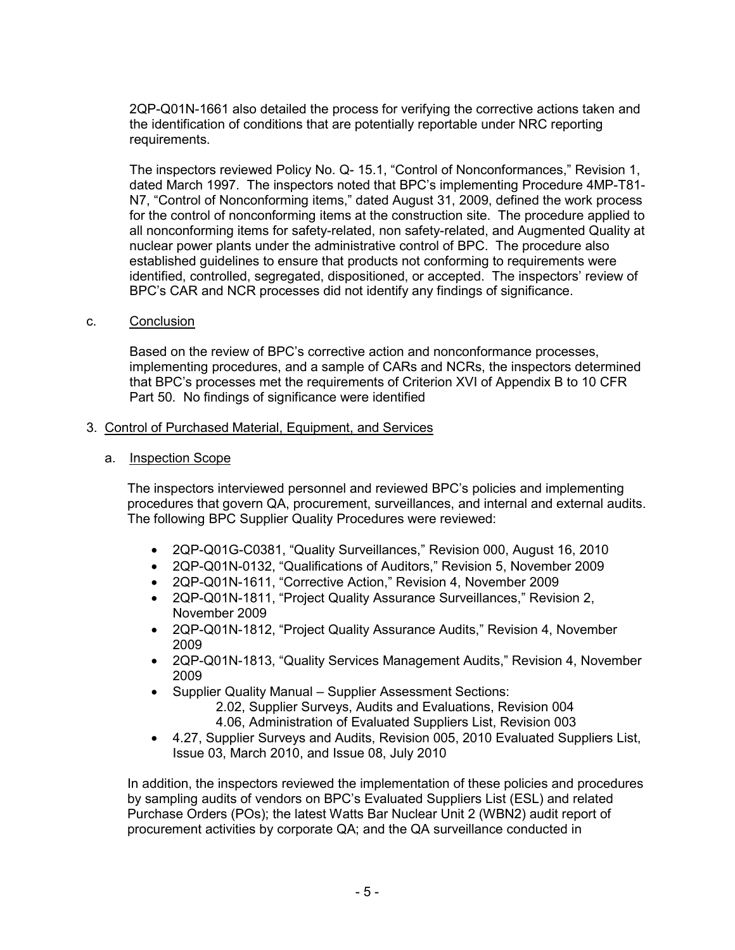2QP-Q01N-1661 also detailed the process for verifying the corrective actions taken and the identification of conditions that are potentially reportable under NRC reporting requirements.

The inspectors reviewed Policy No. Q- 15.1, "Control of Nonconformances," Revision 1, dated March 1997. The inspectors noted that BPC's implementing Procedure 4MP-T81- N7, "Control of Nonconforming items," dated August 31, 2009, defined the work process for the control of nonconforming items at the construction site. The procedure applied to all nonconforming items for safety-related, non safety-related, and Augmented Quality at nuclear power plants under the administrative control of BPC. The procedure also established guidelines to ensure that products not conforming to requirements were identified, controlled, segregated, dispositioned, or accepted. The inspectors' review of BPC's CAR and NCR processes did not identify any findings of significance.

c. Conclusion

Based on the review of BPC's corrective action and nonconformance processes, implementing procedures, and a sample of CARs and NCRs, the inspectors determined that BPC's processes met the requirements of Criterion XVI of Appendix B to 10 CFR Part 50. No findings of significance were identified

- 3. Control of Purchased Material, Equipment, and Services
	- a. Inspection Scope

The inspectors interviewed personnel and reviewed BPC's policies and implementing procedures that govern QA, procurement, surveillances, and internal and external audits. The following BPC Supplier Quality Procedures were reviewed:

- 2QP-Q01G-C0381, "Quality Surveillances," Revision 000, August 16, 2010
- 2QP-Q01N-0132, "Qualifications of Auditors," Revision 5, November 2009
- 2QP-Q01N-1611, "Corrective Action," Revision 4, November 2009
- 2QP-Q01N-1811, "Project Quality Assurance Surveillances," Revision 2, November 2009
- 2QP-Q01N-1812, "Project Quality Assurance Audits," Revision 4, November 2009
- 2QP-Q01N-1813, "Quality Services Management Audits," Revision 4, November 2009
- Supplier Quality Manual Supplier Assessment Sections: 2.02, Supplier Surveys, Audits and Evaluations, Revision 004
	- 4.06, Administration of Evaluated Suppliers List, Revision 003
- 4.27, Supplier Surveys and Audits, Revision 005, 2010 Evaluated Suppliers List, Issue 03, March 2010, and Issue 08, July 2010

In addition, the inspectors reviewed the implementation of these policies and procedures by sampling audits of vendors on BPC's Evaluated Suppliers List (ESL) and related Purchase Orders (POs); the latest Watts Bar Nuclear Unit 2 (WBN2) audit report of procurement activities by corporate QA; and the QA surveillance conducted in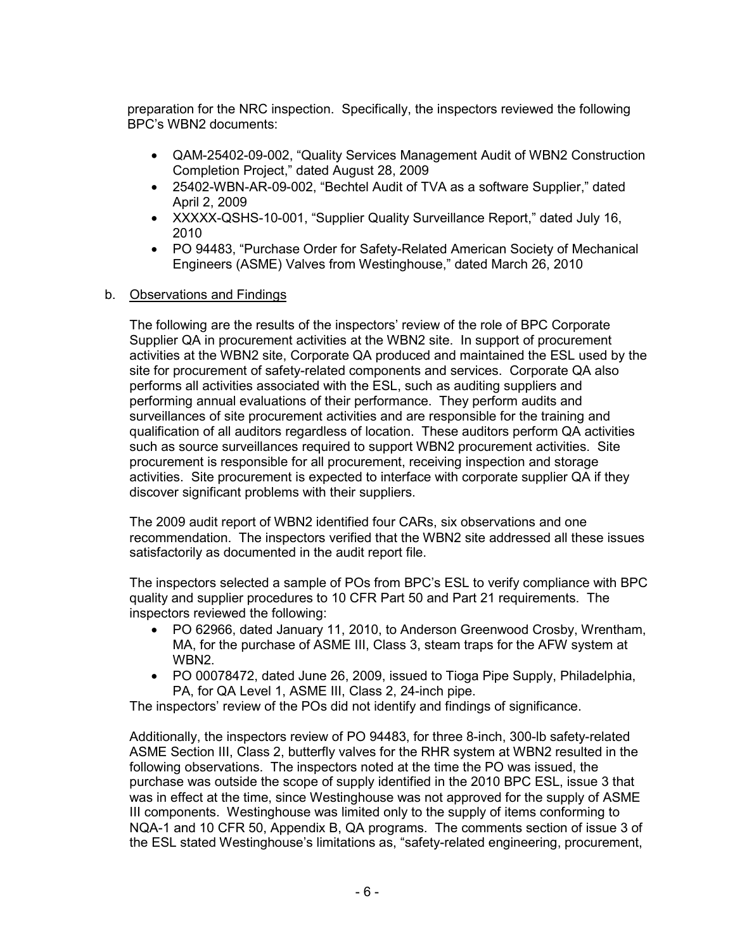preparation for the NRC inspection. Specifically, the inspectors reviewed the following BPC's WBN2 documents:

- QAM-25402-09-002, "Quality Services Management Audit of WBN2 Construction Completion Project," dated August 28, 2009
- 25402-WBN-AR-09-002, "Bechtel Audit of TVA as a software Supplier," dated April 2, 2009
- XXXXX-QSHS-10-001, "Supplier Quality Surveillance Report," dated July 16, 2010
- PO 94483, "Purchase Order for Safety-Related American Society of Mechanical Engineers (ASME) Valves from Westinghouse," dated March 26, 2010
- b. Observations and Findings

 The following are the results of the inspectors' review of the role of BPC Corporate Supplier QA in procurement activities at the WBN2 site. In support of procurement activities at the WBN2 site, Corporate QA produced and maintained the ESL used by the site for procurement of safety-related components and services. Corporate QA also performs all activities associated with the ESL, such as auditing suppliers and performing annual evaluations of their performance. They perform audits and surveillances of site procurement activities and are responsible for the training and qualification of all auditors regardless of location. These auditors perform QA activities such as source surveillances required to support WBN2 procurement activities. Site procurement is responsible for all procurement, receiving inspection and storage activities. Site procurement is expected to interface with corporate supplier QA if they discover significant problems with their suppliers.

The 2009 audit report of WBN2 identified four CARs, six observations and one recommendation. The inspectors verified that the WBN2 site addressed all these issues satisfactorily as documented in the audit report file.

The inspectors selected a sample of POs from BPC's ESL to verify compliance with BPC quality and supplier procedures to 10 CFR Part 50 and Part 21 requirements. The inspectors reviewed the following:

- PO 62966, dated January 11, 2010, to Anderson Greenwood Crosby, Wrentham, MA, for the purchase of ASME III, Class 3, steam traps for the AFW system at WBN2.
- PO 00078472, dated June 26, 2009, issued to Tioga Pipe Supply, Philadelphia, PA, for QA Level 1, ASME III, Class 2, 24-inch pipe.

The inspectors' review of the POs did not identify and findings of significance.

Additionally, the inspectors review of PO 94483, for three 8-inch, 300-lb safety-related ASME Section III, Class 2, butterfly valves for the RHR system at WBN2 resulted in the following observations. The inspectors noted at the time the PO was issued, the purchase was outside the scope of supply identified in the 2010 BPC ESL, issue 3 that was in effect at the time, since Westinghouse was not approved for the supply of ASME III components. Westinghouse was limited only to the supply of items conforming to NQA-1 and 10 CFR 50, Appendix B, QA programs. The comments section of issue 3 of the ESL stated Westinghouse's limitations as, "safety-related engineering, procurement,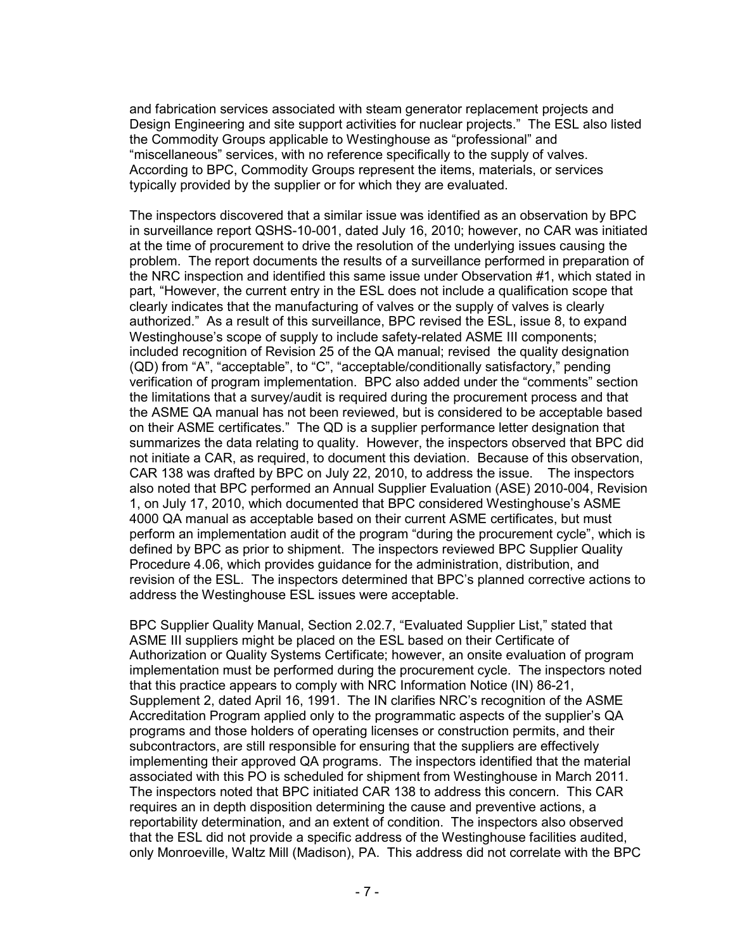and fabrication services associated with steam generator replacement projects and Design Engineering and site support activities for nuclear projects." The ESL also listed the Commodity Groups applicable to Westinghouse as "professional" and "miscellaneous" services, with no reference specifically to the supply of valves. According to BPC, Commodity Groups represent the items, materials, or services typically provided by the supplier or for which they are evaluated.

The inspectors discovered that a similar issue was identified as an observation by BPC in surveillance report QSHS-10-001, dated July 16, 2010; however, no CAR was initiated at the time of procurement to drive the resolution of the underlying issues causing the problem. The report documents the results of a surveillance performed in preparation of the NRC inspection and identified this same issue under Observation #1, which stated in part, "However, the current entry in the ESL does not include a qualification scope that clearly indicates that the manufacturing of valves or the supply of valves is clearly authorized." As a result of this surveillance, BPC revised the ESL, issue 8, to expand Westinghouse's scope of supply to include safety-related ASME III components; included recognition of Revision 25 of the QA manual; revised the quality designation (QD) from "A", "acceptable", to "C", "acceptable/conditionally satisfactory," pending verification of program implementation. BPC also added under the "comments" section the limitations that a survey/audit is required during the procurement process and that the ASME QA manual has not been reviewed, but is considered to be acceptable based on their ASME certificates." The QD is a supplier performance letter designation that summarizes the data relating to quality. However, the inspectors observed that BPC did not initiate a CAR, as required, to document this deviation. Because of this observation, CAR 138 was drafted by BPC on July 22, 2010, to address the issue. The inspectors also noted that BPC performed an Annual Supplier Evaluation (ASE) 2010-004, Revision 1, on July 17, 2010, which documented that BPC considered Westinghouse's ASME 4000 QA manual as acceptable based on their current ASME certificates, but must perform an implementation audit of the program "during the procurement cycle", which is defined by BPC as prior to shipment.The inspectors reviewed BPC Supplier Quality Procedure 4.06, which provides guidance for the administration, distribution, and revision of the ESL. The inspectors determined that BPC's planned corrective actions to address the Westinghouse ESL issues were acceptable.

BPC Supplier Quality Manual, Section 2.02.7, "Evaluated Supplier List," stated that ASME III suppliers might be placed on the ESL based on their Certificate of Authorization or Quality Systems Certificate; however, an onsite evaluation of program implementation must be performed during the procurement cycle. The inspectors noted that this practice appears to comply with NRC Information Notice (IN) 86-21, Supplement 2, dated April 16, 1991. The IN clarifies NRC's recognition of the ASME Accreditation Program applied only to the programmatic aspects of the supplier's QA programs and those holders of operating licenses or construction permits, and their subcontractors, are still responsible for ensuring that the suppliers are effectively implementing their approved QA programs. The inspectors identified that the material associated with this PO is scheduled for shipment from Westinghouse in March 2011. The inspectors noted that BPC initiated CAR 138 to address this concern. This CAR requires an in depth disposition determining the cause and preventive actions, a reportability determination, and an extent of condition. The inspectors also observed that the ESL did not provide a specific address of the Westinghouse facilities audited, only Monroeville, Waltz Mill (Madison), PA. This address did not correlate with the BPC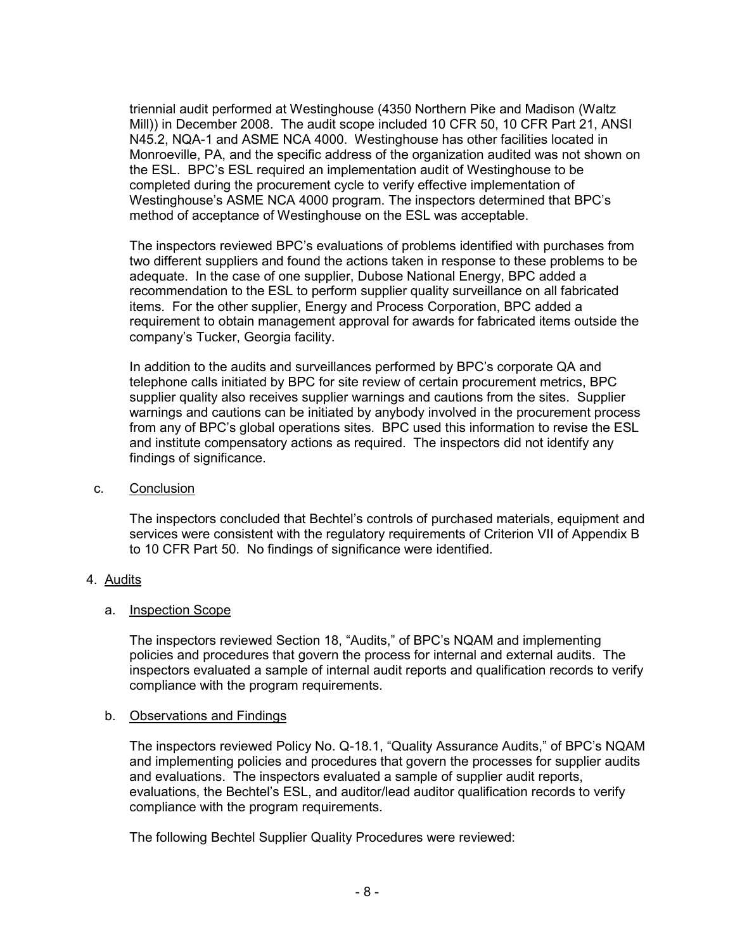triennial audit performed at Westinghouse (4350 Northern Pike and Madison (Waltz Mill)) in December 2008. The audit scope included 10 CFR 50, 10 CFR Part 21, ANSI N45.2, NQA-1 and ASME NCA 4000. Westinghouse has other facilities located in Monroeville, PA, and the specific address of the organization audited was not shown on the ESL. BPC's ESL required an implementation audit of Westinghouse to be completed during the procurement cycle to verify effective implementation of Westinghouse's ASME NCA 4000 program. The inspectors determined that BPC's method of acceptance of Westinghouse on the ESL was acceptable.

The inspectors reviewed BPC's evaluations of problems identified with purchases from two different suppliers and found the actions taken in response to these problems to be adequate. In the case of one supplier, Dubose National Energy, BPC added a recommendation to the ESL to perform supplier quality surveillance on all fabricated items. For the other supplier, Energy and Process Corporation, BPC added a requirement to obtain management approval for awards for fabricated items outside the company's Tucker, Georgia facility.

 In addition to the audits and surveillances performed by BPC's corporate QA and telephone calls initiated by BPC for site review of certain procurement metrics, BPC supplier quality also receives supplier warnings and cautions from the sites. Supplier warnings and cautions can be initiated by anybody involved in the procurement process from any of BPC's global operations sites. BPC used this information to revise the ESL and institute compensatory actions as required. The inspectors did not identify any findings of significance.

# c. Conclusion

The inspectors concluded that Bechtel's controls of purchased materials, equipment and services were consistent with the regulatory requirements of Criterion VII of Appendix B to 10 CFR Part 50. No findings of significance were identified.

# 4. Audits

# a. Inspection Scope

The inspectors reviewed Section 18, "Audits," of BPC's NQAM and implementing policies and procedures that govern the process for internal and external audits. The inspectors evaluated a sample of internal audit reports and qualification records to verify compliance with the program requirements.

#### b. Observations and Findings

The inspectors reviewed Policy No. Q-18.1, "Quality Assurance Audits," of BPC's NQAM and implementing policies and procedures that govern the processes for supplier audits and evaluations. The inspectors evaluated a sample of supplier audit reports, evaluations, the Bechtel's ESL, and auditor/lead auditor qualification records to verify compliance with the program requirements.

The following Bechtel Supplier Quality Procedures were reviewed: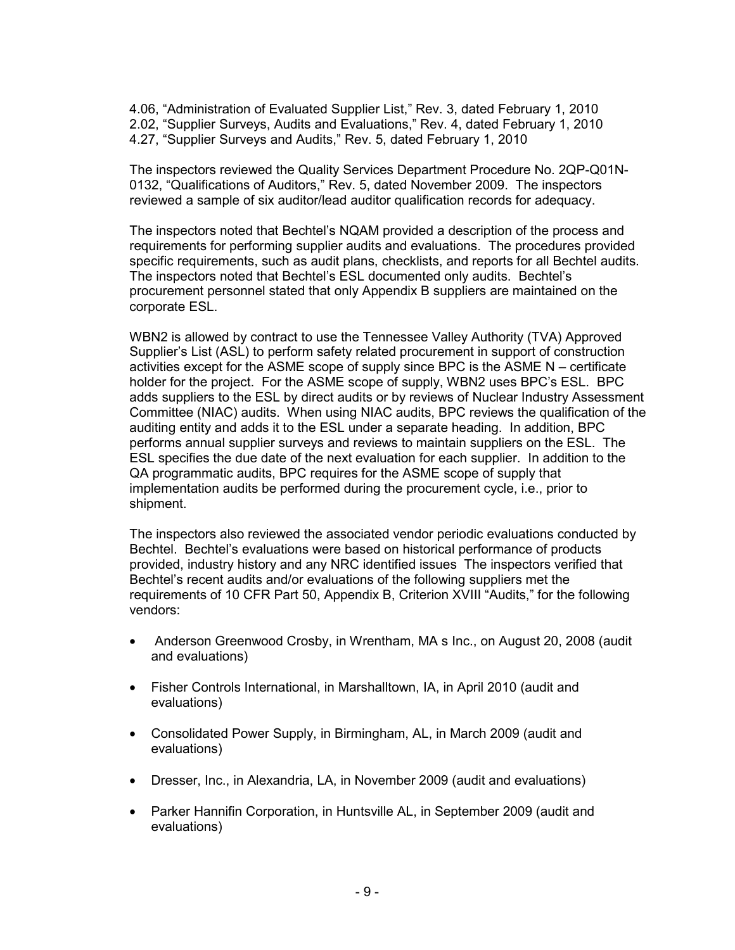4.06, "Administration of Evaluated Supplier List," Rev. 3, dated February 1, 2010 2.02, "Supplier Surveys, Audits and Evaluations," Rev. 4, dated February 1, 2010 4.27, "Supplier Surveys and Audits," Rev. 5, dated February 1, 2010

The inspectors reviewed the Quality Services Department Procedure No. 2QP-Q01N-0132, "Qualifications of Auditors," Rev. 5, dated November 2009. The inspectors reviewed a sample of six auditor/lead auditor qualification records for adequacy.

The inspectors noted that Bechtel's NQAM provided a description of the process and requirements for performing supplier audits and evaluations. The procedures provided specific requirements, such as audit plans, checklists, and reports for all Bechtel audits. The inspectors noted that Bechtel's ESL documented only audits. Bechtel's procurement personnel stated that only Appendix B suppliers are maintained on the corporate ESL.

WBN2 is allowed by contract to use the Tennessee Valley Authority (TVA) Approved Supplier's List (ASL) to perform safety related procurement in support of construction activities except for the ASME scope of supply since BPC is the ASME N – certificate holder for the project. For the ASME scope of supply, WBN2 uses BPC's ESL. BPC adds suppliers to the ESL by direct audits or by reviews of Nuclear Industry Assessment Committee (NIAC) audits. When using NIAC audits, BPC reviews the qualification of the auditing entity and adds it to the ESL under a separate heading. In addition, BPC performs annual supplier surveys and reviews to maintain suppliers on the ESL. The ESL specifies the due date of the next evaluation for each supplier. In addition to the QA programmatic audits, BPC requires for the ASME scope of supply that implementation audits be performed during the procurement cycle, i.e., prior to shipment.

The inspectors also reviewed the associated vendor periodic evaluations conducted by Bechtel. Bechtel's evaluations were based on historical performance of products provided, industry history and any NRC identified issues The inspectors verified that Bechtel's recent audits and/or evaluations of the following suppliers met the requirements of 10 CFR Part 50, Appendix B, Criterion XVIII "Audits," for the following vendors:

- Anderson Greenwood Crosby, in Wrentham, MA s Inc., on August 20, 2008 (audit and evaluations)
- Fisher Controls International, in Marshalltown, IA, in April 2010 (audit and evaluations)
- Consolidated Power Supply, in Birmingham, AL, in March 2009 (audit and evaluations)
- Dresser, Inc., in Alexandria, LA, in November 2009 (audit and evaluations)
- Parker Hannifin Corporation, in Huntsville AL, in September 2009 (audit and evaluations)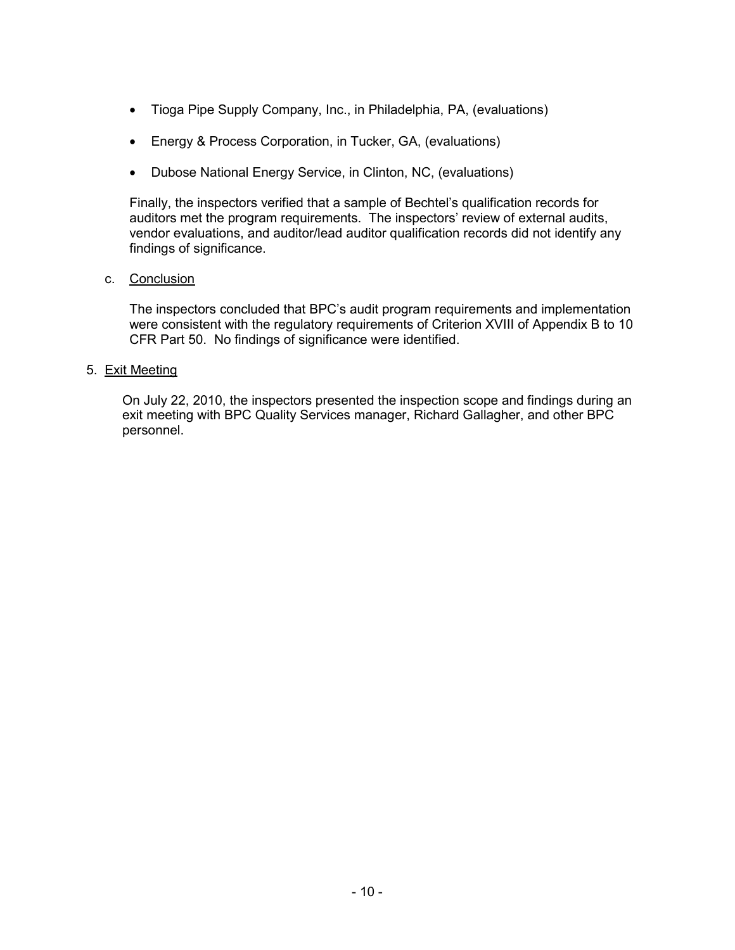- Tioga Pipe Supply Company, Inc., in Philadelphia, PA, (evaluations)
- Energy & Process Corporation, in Tucker, GA, (evaluations)
- Dubose National Energy Service, in Clinton, NC, (evaluations)

Finally, the inspectors verified that a sample of Bechtel's qualification records for auditors met the program requirements. The inspectors' review of external audits, vendor evaluations, and auditor/lead auditor qualification records did not identify any findings of significance.

# c. Conclusion

The inspectors concluded that BPC's audit program requirements and implementation were consistent with the regulatory requirements of Criterion XVIII of Appendix B to 10 CFR Part 50. No findings of significance were identified.

### 5. Exit Meeting

On July 22, 2010, the inspectors presented the inspection scope and findings during an exit meeting with BPC Quality Services manager, Richard Gallagher, and other BPC personnel.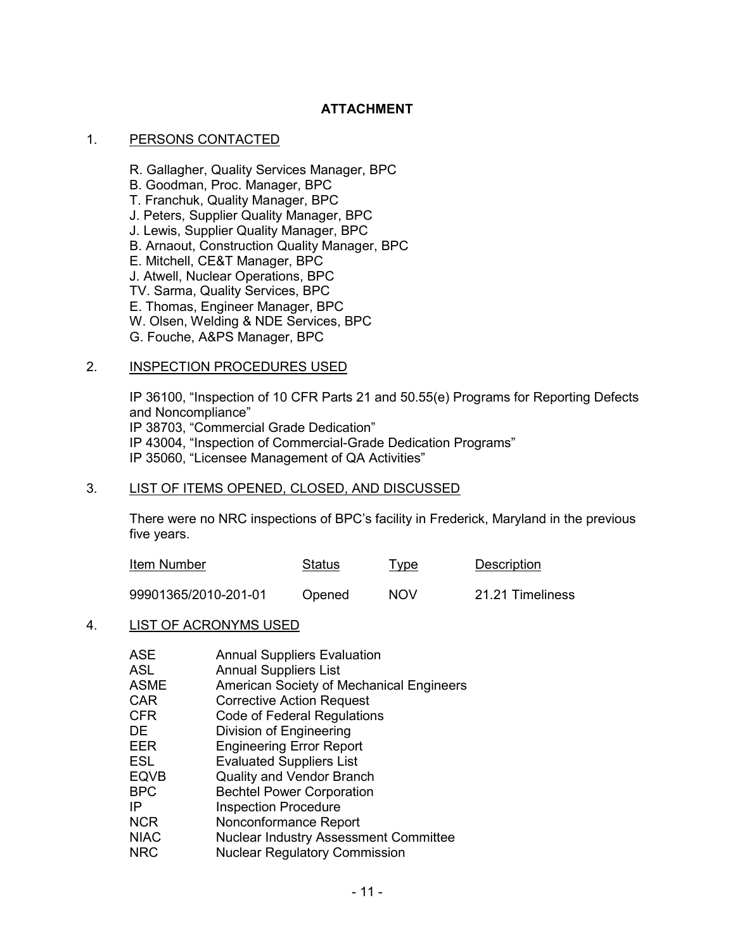# **ATTACHMENT**

### 1. PERSONS CONTACTED

 R. Gallagher, Quality Services Manager, BPC B. Goodman, Proc. Manager, BPC T. Franchuk, Quality Manager, BPC J. Peters, Supplier Quality Manager, BPC J. Lewis, Supplier Quality Manager, BPC B. Arnaout, Construction Quality Manager, BPC E. Mitchell, CE&T Manager, BPC J. Atwell, Nuclear Operations, BPC TV. Sarma, Quality Services, BPC

E. Thomas, Engineer Manager, BPC

W. Olsen, Welding & NDE Services, BPC

G. Fouche, A&PS Manager, BPC

#### 2. INSPECTION PROCEDURES USED

IP 36100, "Inspection of 10 CFR Parts 21 and 50.55(e) Programs for Reporting Defects and Noncompliance" IP 38703, "Commercial Grade Dedication" IP 43004, "Inspection of Commercial-Grade Dedication Programs" IP 35060, "Licensee Management of QA Activities"

### 3. LIST OF ITEMS OPENED, CLOSED, AND DISCUSSED

There were no NRC inspections of BPC's facility in Frederick, Maryland in the previous five years.

| Item Number          | Status | <u>Type</u> | Description      |
|----------------------|--------|-------------|------------------|
| 99901365/2010-201-01 | Opened | <b>NOV</b>  | 21.21 Timeliness |

#### 4. LIST OF ACRONYMS USED

| <b>ASE</b>  | <b>Annual Suppliers Evaluation</b>           |
|-------------|----------------------------------------------|
| <b>ASL</b>  | <b>Annual Suppliers List</b>                 |
| <b>ASME</b> |                                              |
|             | American Society of Mechanical Engineers     |
| <b>CAR</b>  | <b>Corrective Action Request</b>             |
| <b>CFR</b>  | Code of Federal Regulations                  |
| DE.         | Division of Engineering                      |
| <b>EER</b>  | <b>Engineering Error Report</b>              |
| <b>ESL</b>  | <b>Evaluated Suppliers List</b>              |
| <b>EQVB</b> | <b>Quality and Vendor Branch</b>             |
| <b>BPC</b>  | <b>Bechtel Power Corporation</b>             |
| IP          | <b>Inspection Procedure</b>                  |
| <b>NCR</b>  | Nonconformance Report                        |
| <b>NIAC</b> | <b>Nuclear Industry Assessment Committee</b> |
| NRC         | <b>Nuclear Regulatory Commission</b>         |